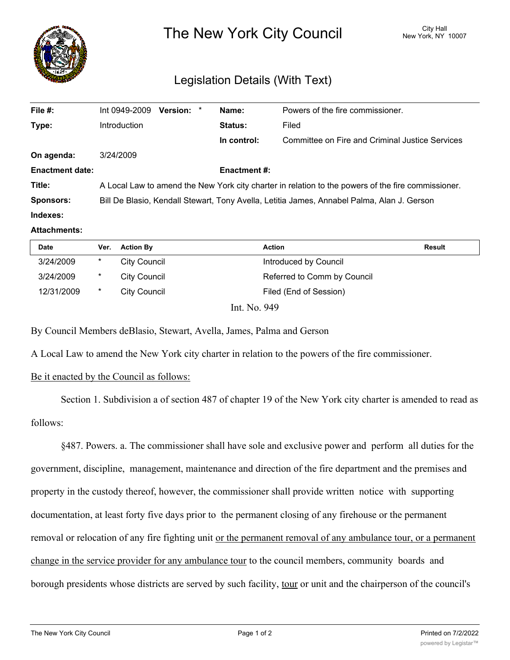

## Legislation Details (With Text)

| Int 0949-2009                                                                                      |  |  | Name:               | Powers of the fire commissioner.                |
|----------------------------------------------------------------------------------------------------|--|--|---------------------|-------------------------------------------------|
| Introduction                                                                                       |  |  | <b>Status:</b>      | Filed                                           |
|                                                                                                    |  |  | In control:         | Committee on Fire and Criminal Justice Services |
| 3/24/2009                                                                                          |  |  |                     |                                                 |
|                                                                                                    |  |  | <b>Enactment #:</b> |                                                 |
| A Local Law to amend the New York city charter in relation to the powers of the fire commissioner. |  |  |                     |                                                 |
| Bill De Blasio, Kendall Stewart, Tony Avella, Letitia James, Annabel Palma, Alan J. Gerson         |  |  |                     |                                                 |
|                                                                                                    |  |  |                     |                                                 |
|                                                                                                    |  |  | Version: *          |                                                 |

## **Attachments:**

| <b>Date</b> | Ver.   | <b>Action By</b>    | <b>Action</b>               | Result |
|-------------|--------|---------------------|-----------------------------|--------|
| 3/24/2009   | $\ast$ | <b>City Council</b> | Introduced by Council       |        |
| 3/24/2009   | $\ast$ | City Council        | Referred to Comm by Council |        |
| 12/31/2009  | $\ast$ | City Council        | Filed (End of Session)      |        |
|             |        | Int. No. 949        |                             |        |

By Council Members deBlasio, Stewart, Avella, James, Palma and Gerson

A Local Law to amend the New York city charter in relation to the powers of the fire commissioner.

## Be it enacted by the Council as follows:

Section 1. Subdivision a of section 487 of chapter 19 of the New York city charter is amended to read as

follows:

§487. Powers. a. The commissioner shall have sole and exclusive power and perform all duties for the government, discipline, management, maintenance and direction of the fire department and the premises and property in the custody thereof, however, the commissioner shall provide written notice with supporting documentation, at least forty five days prior to the permanent closing of any firehouse or the permanent removal or relocation of any fire fighting unit or the permanent removal of any ambulance tour, or a permanent change in the service provider for any ambulance tour to the council members, community boards and borough presidents whose districts are served by such facility, tour or unit and the chairperson of the council's